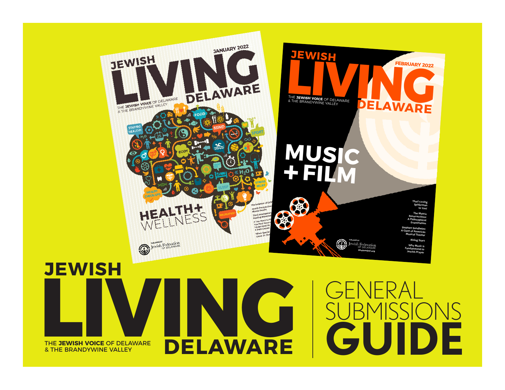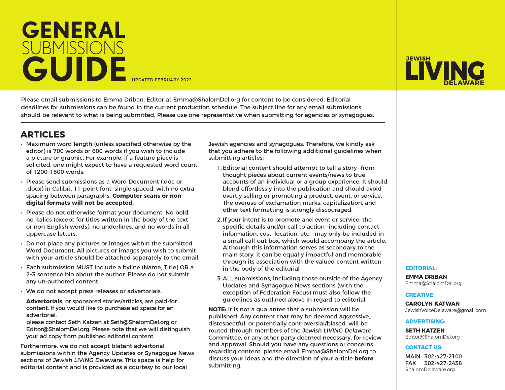

Please email submissions to Emma Driban, Editor at Emma@ShalomDel.org for content to be considered. Editorial deadlines for submissions can be found in the current production schedule. The subject line for any email submissions should be relevant to what is being submitted. Please use one representative when submitting for agencies or synagogues.

## **ARTICLES**

- Maximum word length (unless specified otherwise by the editor) is 700 words or 600 words if you wish to include a picture or graphic. For example, if a feature piece is solicited, one might expect to have a requested word count of 1200–1500 words.
- Please send submissions as a Word Document (.doc or .docx) in Calibri, 11-point font, single spaced, with no extra spacing between paragraphs. **Computer scans or nondigital formats will not be accepted.**
- Please do not otherwise format your document. No bold, no italics (except for titles written in the body of the text or non-English words), no underlines, and no words in all uppercase letters.
- Do not place any pictures or images within the submitted Word Document. All pictures or images you wish to submit with your article should be attached separately to the email.
- Each submission MUST include a byline (Name, Title) OR a 2–3 sentence bio about the author. Please do not submit any un-authored content.
- We do not accept press releases or advertorials.
- **Advertorials**, or sponsored stories/articles, are paid-for content. If you would like to purchase ad space for an advertorial,
- please contact Seth Katzen at Seth@ShalomDel.org or Editor@ShalomDel.org. Please note that we will distinguish your ad copy from published editorial content.

Furthermore, we do not accept blatant advertorial submissions within the Agency Updates or Synagogue News sections of Jewish LIVING Delaware. This space is help for editorial content and is provided as a courtesy to our local

Jewish agencies and synagogues. Therefore, we kindly ask that you adhere to the following additional guidelines when submitting articles:

- 1. Editorial content should attempt to tell a story—from thought pieces about current events/news to true accounts of an individual or a group experience. It should blend effortlessly into the publication and should avoid overtly selling or promoting a product, event, or service. The overuse of exclamation marks, capitalization, and other text formatting is strongly discouraged.
- 2. If your intent is to promote and event or service, the specific details and/or call to action—including contact information, cost, location, etc.—may only be included in a small call-out box, which would accompany the article. Although this information serves as secondary to the main story, it can be equally impactful and memorable through its association with the valued content written in the body of the editorial
- 3. ALL submissions, including those outside of the Agency Updates and Synagogue News sections (with the exception of Federation Focus) must also follow the guidelines as outlined above in regard to editorial.

**NOTE:** It is not a guarantee that a submission will be published. Any content that may be deemed aggressive, disrespectful, or potentially controversial/biased, will be routed through members of the Jewish LIVING Delaware Committee, or any other party deemed necessary, for review and approval. Should you have any questions or concerns regarding content, please email Emma@ShalomDel.org to discuss your ideas and the direction of your article **before** submitting.

## **LIVING JEWISH DELAWARE** ESRUARY 2022<br> **DELAWARE** ESRUARY 2022

#### **EDITORIAL:**

**EMMA DRIBAN** Emma@ShalomDel.org

#### **CREATIVE:**

**CAROLYN KATWAN** JewishVoiceDelaware@gmail.com

#### **ADVERTISING:**

**SETH KATZEN** Editor@ShalomDel.org

#### **CONTACT US:**

MAIN 302-427-2100 FAX 302-427-2438 ShalomDelaware.org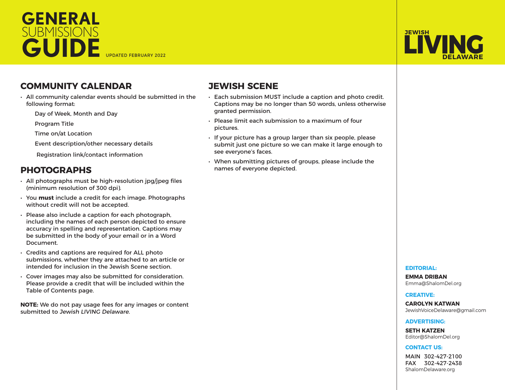## **GENERAL SUBMISSIONS GUIDE**



## **COMMUNITY CALENDAR**

- All community calendar events should be submitted in the following format:
	- Day of Week, Month and Day

Program Title

Time on/at Location

Event description/other necessary details

Registration link/contact information

## **PHOTOGRAPHS**

- All photographs must be high-resolution jpg/jpeg files (minimum resolution of 300 dpi).
- You **must** include a credit for each image. Photographs without credit will not be accepted.
- Please also include a caption for each photograph, including the names of each person depicted to ensure accuracy in spelling and representation. Captions may be submitted in the body of your email or in a Word Document.
- Credits and captions are required for ALL photo submissions, whether they are attached to an article or intended for inclusion in the Jewish Scene section.
- Cover images may also be submitted for consideration. Please provide a credit that will be included within the Table of Contents page.

**NOTE:** We do not pay usage fees for any images or content submitted to Jewish LIVING Delaware.

## **JEWISH SCENE**

- Each submission MUST include a caption and photo credit. Captions may be no longer than 50 words, unless otherwise granted permission.
- Please limit each submission to a maximum of four pictures.
- If your picture has a group larger than six people, please submit just one picture so we can make it large enough to see everyone's faces.
- When submitting pictures of groups, please include the names of everyone depicted.

#### **EDITORIAL:**

**EMMA DRIBAN** Emma@ShalomDel.org

#### **CREATIVE:**

**CAROLYN KATWAN** JewishVoiceDelaware@gmail.com

#### **ADVERTISING:**

**SETH KATZEN** Editor@ShalomDel.org

#### **CONTACT US:**

MAIN 302-427-2100 FAX 302-427-2438 ShalomDelaware.org